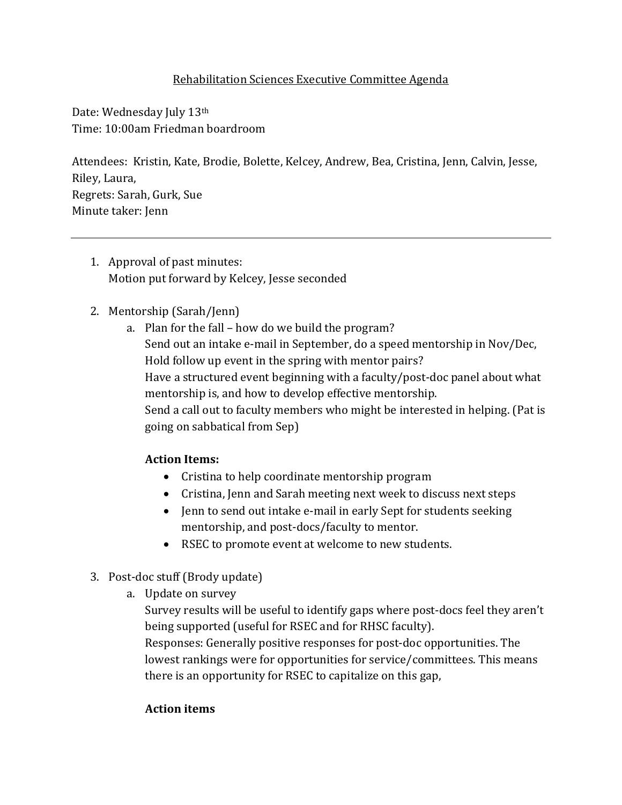### Rehabilitation Sciences Executive Committee Agenda

Date: Wednesday July 13<sup>th</sup> Time: 10:00am Friedman boardroom

Attendees: Kristin, Kate, Brodie, Bolette, Kelcey, Andrew, Bea, Cristina, Jenn, Calvin, Jesse, Riley, Laura, Regrets: Sarah, Gurk, Sue Minute taker: Jenn

1. Approval of past minutes: Motion put forward by Kelcey, Jesse seconded

### 2. Mentorship (Sarah/Jenn)

a. Plan for the fall – how do we build the program? Send out an intake e-mail in September, do a speed mentorship in Nov/Dec, Hold follow up event in the spring with mentor pairs? Have a structured event beginning with a faculty/post-doc panel about what mentorship is, and how to develop effective mentorship. Send a call out to faculty members who might be interested in helping. (Pat is going on sabbatical from Sep)

# **Action Items:**

- Cristina to help coordinate mentorship program
- Cristina, Jenn and Sarah meeting next week to discuss next steps
- Jenn to send out intake e-mail in early Sept for students seeking mentorship, and post-docs/faculty to mentor.
- RSEC to promote event at welcome to new students.
- 3. Post-doc stuff (Brody update)
	- a. Update on survey

Survey results will be useful to identify gaps where post-docs feel they aren't being supported (useful for RSEC and for RHSC faculty). Responses: Generally positive responses for post-doc opportunities. The lowest rankings were for opportunities for service/committees. This means there is an opportunity for RSEC to capitalize on this gap,

#### **Action items**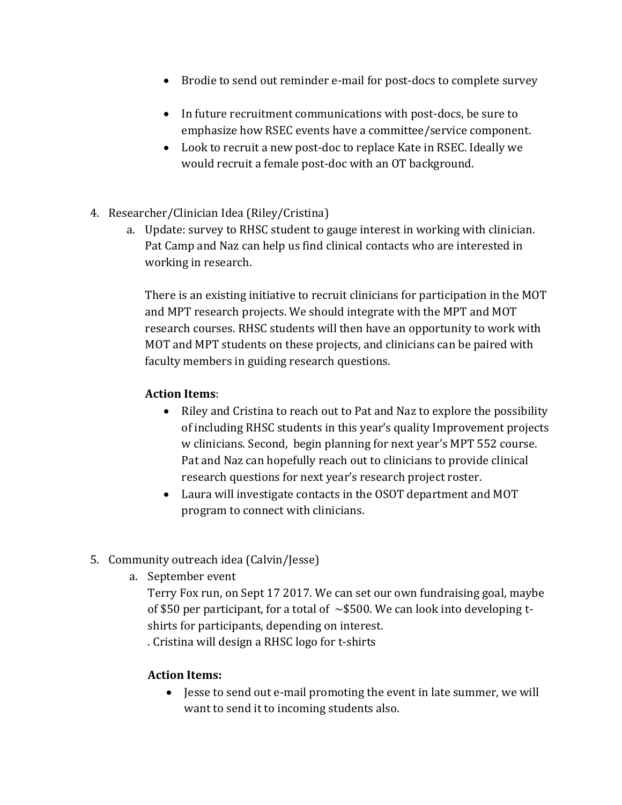- Brodie to send out reminder e-mail for post-docs to complete survey
- In future recruitment communications with post-docs, be sure to emphasize how RSEC events have a committee/service component.
- Look to recruit a new post-doc to replace Kate in RSEC. Ideally we would recruit a female post-doc with an OT background.
- 4. Researcher/Clinician Idea (Riley/Cristina)
	- a. Update: survey to RHSC student to gauge interest in working with clinician. Pat Camp and Naz can help us find clinical contacts who are interested in working in research.

There is an existing initiative to recruit clinicians for participation in the MOT and MPT research projects. We should integrate with the MPT and MOT research courses. RHSC students will then have an opportunity to work with MOT and MPT students on these projects, and clinicians can be paired with faculty members in guiding research questions.

### **Action Items**:

- Riley and Cristina to reach out to Pat and Naz to explore the possibility of including RHSC students in this year's quality Improvement projects w clinicians. Second, begin planning for next year's MPT 552 course. Pat and Naz can hopefully reach out to clinicians to provide clinical research questions for next year's research project roster.
- Laura will investigate contacts in the OSOT department and MOT program to connect with clinicians.
- 5. Community outreach idea (Calvin/Jesse)
	- a. September event

Terry Fox run, on Sept 17 2017. We can set our own fundraising goal, maybe of \$50 per participant, for a total of  $\sim$  \$500. We can look into developing tshirts for participants, depending on interest. . Cristina will design a RHSC logo for t-shirts

**Action Items:**

 Jesse to send out e-mail promoting the event in late summer, we will want to send it to incoming students also.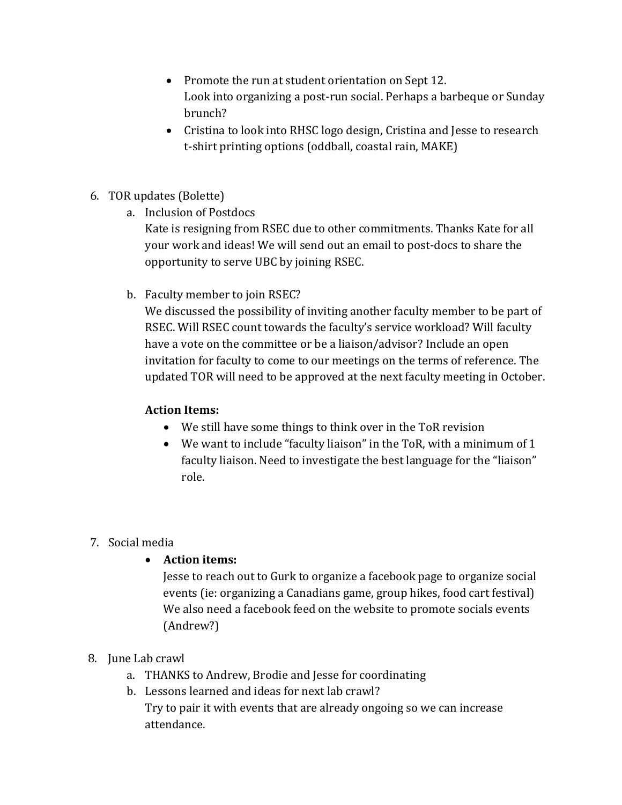- Promote the run at student orientation on Sept 12. Look into organizing a post-run social. Perhaps a barbeque or Sunday brunch?
- Cristina to look into RHSC logo design, Cristina and Jesse to research t-shirt printing options (oddball, coastal rain, MAKE)
- 6. TOR updates (Bolette)
	- a. Inclusion of Postdocs

Kate is resigning from RSEC due to other commitments. Thanks Kate for all your work and ideas! We will send out an email to post-docs to share the opportunity to serve UBC by joining RSEC.

b. Faculty member to join RSEC?

We discussed the possibility of inviting another faculty member to be part of RSEC. Will RSEC count towards the faculty's service workload? Will faculty have a vote on the committee or be a liaison/advisor? Include an open invitation for faculty to come to our meetings on the terms of reference. The updated TOR will need to be approved at the next faculty meeting in October.

# **Action Items:**

- We still have some things to think over in the ToR revision
- We want to include "faculty liaison" in the ToR, with a minimum of 1 faculty liaison. Need to investigate the best language for the "liaison" role.

# 7. Social media

**Action items:**

Jesse to reach out to Gurk to organize a facebook page to organize social events (ie: organizing a Canadians game, group hikes, food cart festival) We also need a facebook feed on the website to promote socials events (Andrew?)

- 8. June Lab crawl
	- a. THANKS to Andrew, Brodie and Jesse for coordinating
	- b. Lessons learned and ideas for next lab crawl?

Try to pair it with events that are already ongoing so we can increase attendance.